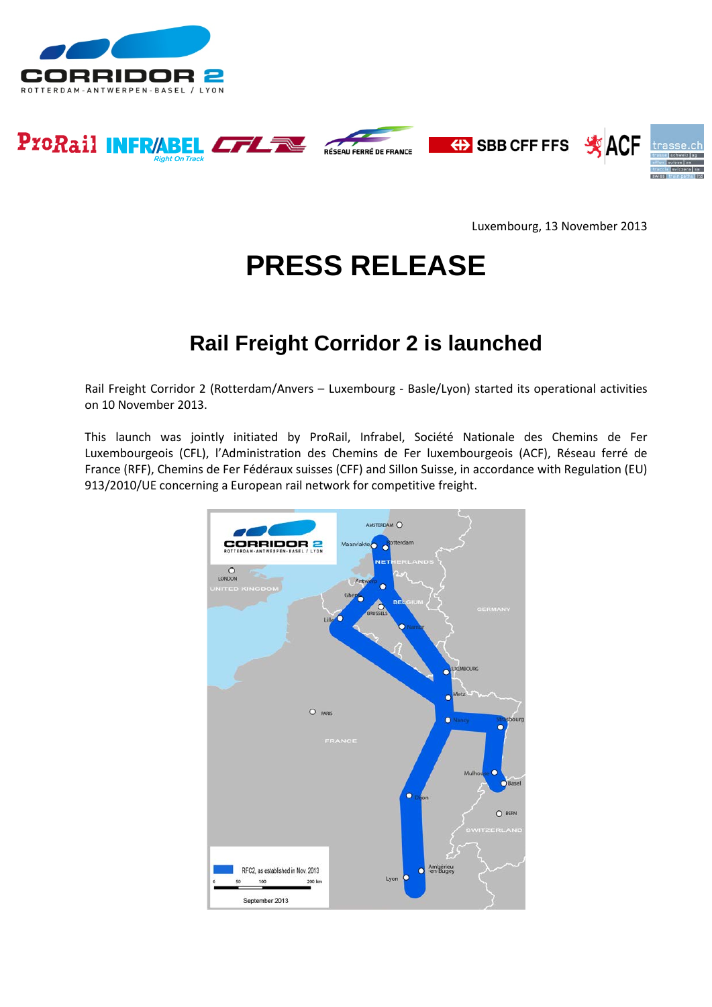









Luxembourg, 13 November 2013

# **PRESS RELEASE**

# **Rail Freight Corridor 2 is launched**

Rail Freight Corridor 2 (Rotterdam/Anvers – Luxembourg - Basle/Lyon) started its operational activities on 10 November 2013.

This launch was jointly initiated by ProRail, Infrabel, Société Nationale des Chemins de Fer Luxembourgeois (CFL), l'Administration des Chemins de Fer luxembourgeois (ACF), Réseau ferré de France (RFF), Chemins de Fer Fédéraux suisses (CFF) and Sillon Suisse, in accordance with Regulation (EU) 913/2010/UE concerning a European rail network for competitive freight.

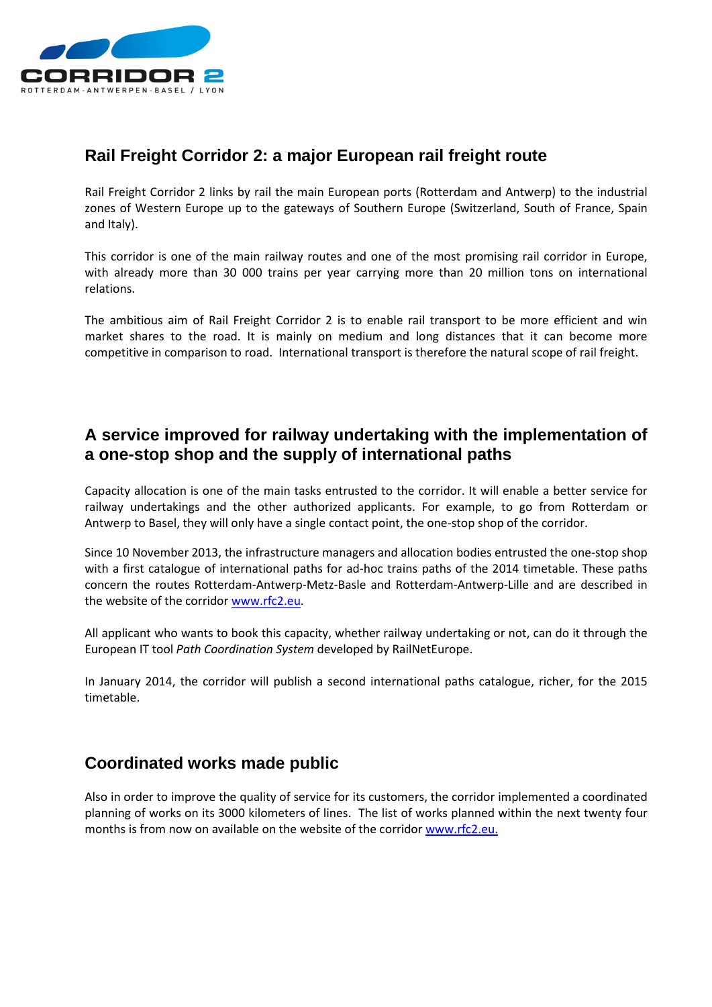

## **Rail Freight Corridor 2: a major European rail freight route**

Rail Freight Corridor 2 links by rail the main European ports (Rotterdam and Antwerp) to the industrial zones of Western Europe up to the gateways of Southern Europe (Switzerland, South of France, Spain and Italy).

This corridor is one of the main railway routes and one of the most promising rail corridor in Europe, with already more than 30 000 trains per year carrying more than 20 million tons on international relations.

The ambitious aim of Rail Freight Corridor 2 is to enable rail transport to be more efficient and win market shares to the road. It is mainly on medium and long distances that it can become more competitive in comparison to road. International transport is therefore the natural scope of rail freight.

## **A service improved for railway undertaking with the implementation of a one-stop shop and the supply of international paths**

Capacity allocation is one of the main tasks entrusted to the corridor. It will enable a better service for railway undertakings and the other authorized applicants. For example, to go from Rotterdam or Antwerp to Basel, they will only have a single contact point, the one-stop shop of the corridor.

Since 10 November 2013, the infrastructure managers and allocation bodies entrusted the one-stop shop with a first catalogue of international paths for ad-hoc trains paths of the 2014 timetable. These paths concern the routes Rotterdam-Antwerp-Metz-Basle and Rotterdam-Antwerp-Lille and are described in the website of the corrido[r www.rfc2.eu.](http://www.rfc2.eu/)

All applicant who wants to book this capacity, whether railway undertaking or not, can do it through the European IT tool *Path Coordination System* developed by RailNetEurope.

In January 2014, the corridor will publish a second international paths catalogue, richer, for the 2015 timetable.

#### **Coordinated works made public**

Also in order to improve the quality of service for its customers, the corridor implemented a coordinated planning of works on its 3000 kilometers of lines. The list of works planned within the next twenty four months is from now on available on the website of the corridor [www.rfc2.eu.](http://www.rfc2.eu/)